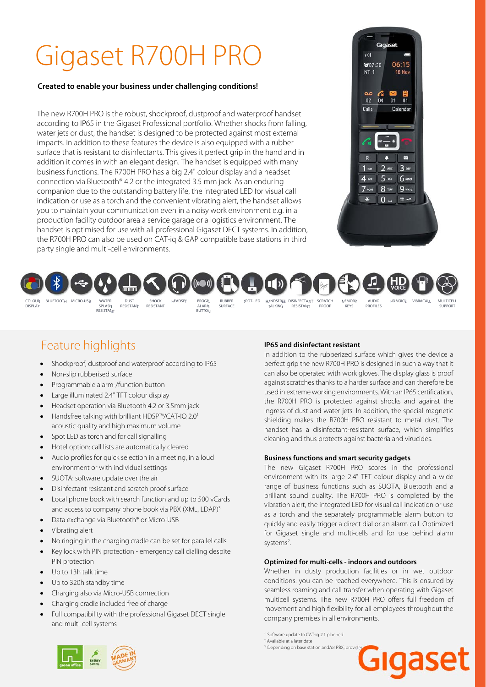**Created to enable your business under challenging conditions!** 

The new R700H PRO is the robust, shockproof, dustproof and waterproof handset according to IP65 in the Gigaset Professional portfolio. Whether shocks from falling, water jets or dust, the handset is designed to be protected against most external impacts. In addition to these features the device is also equipped with a rubber surface that is resistant to disinfectants. This gives it perfect grip in the hand and in addition it comes in with an elegant design. The handset is equipped with many business functions. The R700H PRO has a big 2.4" colour display and a headset connection via Bluetooth® 4.2 or the integrated 3.5 mm jack. As an enduring companion due to the outstanding battery life, the integrated LED for visual call indication or use as a torch and the convenient vibrating alert, the handset allows you to maintain your communication even in a noisy work environment e.g. in a production facility outdoor area a service garage or a logistics environment. The handset is optimised for use with all professional Gigaset DECT systems. In addition, the R700H PRO can also be used on CAT-iq & GAP compatible base stations in third party single and multi-cell environments.





### Feature highlights

- Shockproof, dustproof and waterproof according to IP65
- Non-slip rubberised surface
- Programmable alarm-/function button
- Large illuminated 2.4" TFT colour display
- Headset operation via Bluetooth 4.2 or 3.5mm jack
- Handsfree talking with brilliant HDSP™/CAT-IQ 2.01 acoustic quality and high maximum volume
- Spot LED as torch and for call signalling
- Hotel option: call lists are automatically cleared
- Audio profiles for quick selection in a meeting, in a loud environment or with individual settings
- SUOTA: software update over the air
- Disinfectant resistant and scratch proof surface
- Local phone book with search function and up to 500 vCards and access to company phone book via PBX (XML, LDAP)<sup>3</sup>
- Data exchange via Bluetooth® or Micro-USB
- Vibrating alert
- No ringing in the charging cradle can be set for parallel calls
- Key lock with PIN protection emergency call dialling despite PIN protection
- Up to 13h talk time
- Up to 320h standby time
- Charging also via Micro-USB connection
- Charging cradle included free of charge

 $\overline{a}$  depending on base station and or  $\overline{a}$ 

 Full compatibility with the professional Gigaset DECT single and multi-cell systems

#### **IP65 and disinfectant resistant**

In addition to the rubberized surface which gives the device a perfect grip the new R700H PRO is designed in such a way that it can also be operated with work gloves. The display glass is proof against scratches thanks to a harder surface and can therefore be used in extreme working environments. With an IP65 certification, the R700H PRO is protected against shocks and against the ingress of dust and water jets. In addition, the special magnetic shielding makes the R700H PRO resistant to metal dust. The handset has a disinfectant-resistant surface, which simplifies cleaning and thus protects against bacteria and virucides.

#### **Business functions and smart security gadgets**

The new Gigaset R700H PRO scores in the professional environment with its large 2.4" TFT colour display and a wide range of business functions such as SUOTA, Bluetooth and a brilliant sound quality. The R700H PRO is completed by the vibration alert, the integrated LED for visual call indication or use as a torch and the separately programmable alarm button to quickly and easily trigger a direct dial or an alarm call. Optimized for Gigaset single and multi-cells and for use behind alarm systems<sup>2</sup>. .

#### **Optimized for multi-cells - indoors and outdoors**

Whether in dusty production facilities or in wet outdoor conditions: you can be reached everywhere. This is ensured by seamless roaming and call transfer when operating with Gigaset multicell systems. The new R700H PRO offers full freedom of movement and high flexibility for all employees throughout the company premises in all environments.

<sup>1)</sup> Software update to CAT-iq 2.1 planned  $^{2}$  Available at a later date

<sup>3)</sup> Depending on base station and/or PBX, provid

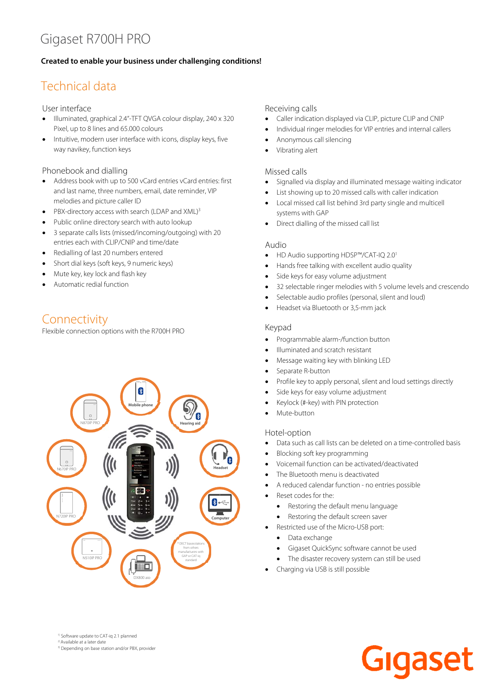#### **Created to enable your business under challenging conditions!**

## Technical data

User interface

- Illuminated, graphical 2.4"-TFT QVGA colour display, 240 x 320 Pixel, up to 8 lines and 65.000 colours
- Intuitive, modern user interface with icons, display keys, five way navikey, function keys

Phonebook and dialling

- Address book with up to 500 vCard entries vCard entries: first and last name, three numbers, email, date reminder, VIP melodies and picture caller ID
- PBX-directory access with search (LDAP and XML)<sup>3</sup>
- Public online directory search with auto lookup
- 3 separate calls lists (missed/incoming/outgoing) with 20 entries each with CLIP/CNIP and time/date
- Redialling of last 20 numbers entered
- Short dial keys (soft keys, 9 numeric keys)
- Mute key, key lock and flash key
- Automatic redial function

### Connectivity

Flexible connection options with the R700H PRO



#### Receiving calls

- Caller indication displayed via CLIP, picture CLIP and CNIP
- Individual ringer melodies for VIP entries and internal callers
- Anonymous call silencing
- Vibrating alert

#### Missed calls

- Signalled via display and illuminated message waiting indicator
- List showing up to 20 missed calls with caller indication
- Local missed call list behind 3rd party single and multicell systems with GAP
- Direct dialling of the missed call list

#### Audio

- HD Audio supporting HDSP™/CAT-IO 2.0<sup>1</sup>
- Hands free talking with excellent audio quality
- Side keys for easy volume adjustment
- 32 selectable ringer melodies with 5 volume levels and crescendo
- Selectable audio profiles (personal, silent and loud)
- Headset via Bluetooth or 3,5-mm jack

#### Keypad

- Programmable alarm-/function button
- Illuminated and scratch resistant
- Message waiting key with blinking LED
- Separate R-button
- Profile key to apply personal, silent and loud settings directly
- Side keys for easy volume adjustment
- Keylock (#-key) with PIN protection
- Mute-button

#### Hotel-option

- Data such as call lists can be deleted on a time-controlled basis
- Blocking soft key programming
- Voicemail function can be activated/deactivated
- The Bluetooth menu is deactivated
- A reduced calendar function no entries possible
- Reset codes for the:
	- Restoring the default menu language
- Restoring the default screen saver
- Restricted use of the Micro-USB port:
- Data exchange
- Gigaset QuickSync software cannot be used
- The disaster recovery system can still be used
- Charging via USB is still possible

<sup>1)</sup> Software update to CAT-iq 2.1 planned  $2^{\circ}$  Available at a later date

3) Depending on base station and/or PBX, provider

**gase**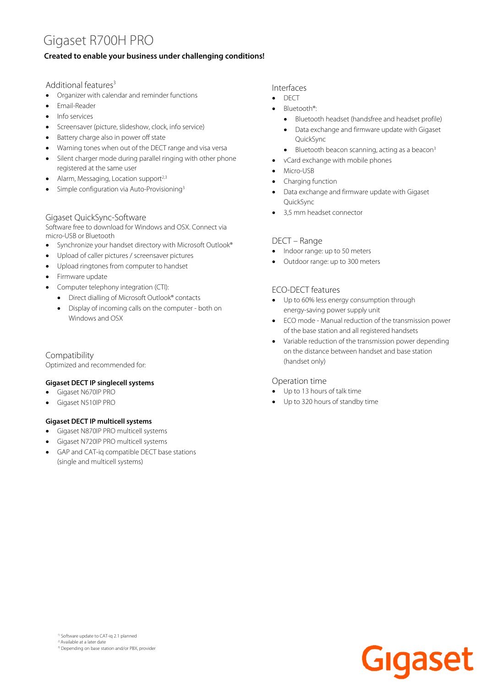#### **Created to enable your business under challenging conditions!**

#### Additional features<sup>3</sup>

- Organizer with calendar and reminder functions
- Email-Reader
- Info services
- Screensaver (picture, slideshow, clock, info service)
- Battery charge also in power off state
- Warning tones when out of the DECT range and visa versa
- Silent charger mode during parallel ringing with other phone registered at the same user
- Alarm, Messaging, Location support<sup>2,3</sup>
- Simple configuration via Auto-Provisioning3

#### Gigaset QuickSync-Software

Software free to download for Windows and OSX. Connect via micro-USB or Bluetooth

- Synchronize your handset directory with Microsoft Outlook®
- Upload of caller pictures / screensaver pictures
- Upload ringtones from computer to handset
- Firmware update
- Computer telephony integration (CTI):
- Direct dialling of Microsoft Outlook® contacts
- Display of incoming calls on the computer both on Windows and OSX

#### Compatibility

Optimized and recommended for:

#### **Gigaset DECT IP singlecell systems**

- Gigaset N670IP PRO
- Gigaset N510IP PRO

#### **Gigaset DECT IP multicell systems**

- Gigaset N870IP PRO multicell systems
- Gigaset N720IP PRO multicell systems
- GAP and CAT-iq compatible DECT base stations (single and multicell systems)

Interfaces

- $\bullet$  DECT
- Bluetooth®:
	- Bluetooth headset (handsfree and headset profile)
	- Data exchange and firmware update with Gigaset QuickSync
	- $\bullet$  Bluetooth beacon scanning, acting as a beacon<sup>3</sup>
- vCard exchange with mobile phones
- Micro-USB
- Charging function
- Data exchange and firmware update with Gigaset QuickSync
- 3,5 mm headset connector

#### DECT – Range

- Indoor range: up to 50 meters
- Outdoor range: up to 300 meters

#### ECO-DECT features

- Up to 60% less energy consumption through energy-saving power supply unit
- ECO mode Manual reduction of the transmission power of the base station and all registered handsets
- Variable reduction of the transmission power depending on the distance between handset and base station (handset only)

#### Operation time

- Up to 13 hours of talk time
- Up to 320 hours of standby time

<sup>1)</sup> Software update to CAT-iq 2.1 planned  $2$ <sup>2</sup> Available at a later date 3) Depending on base station and/or PBX, provider

Gigaset